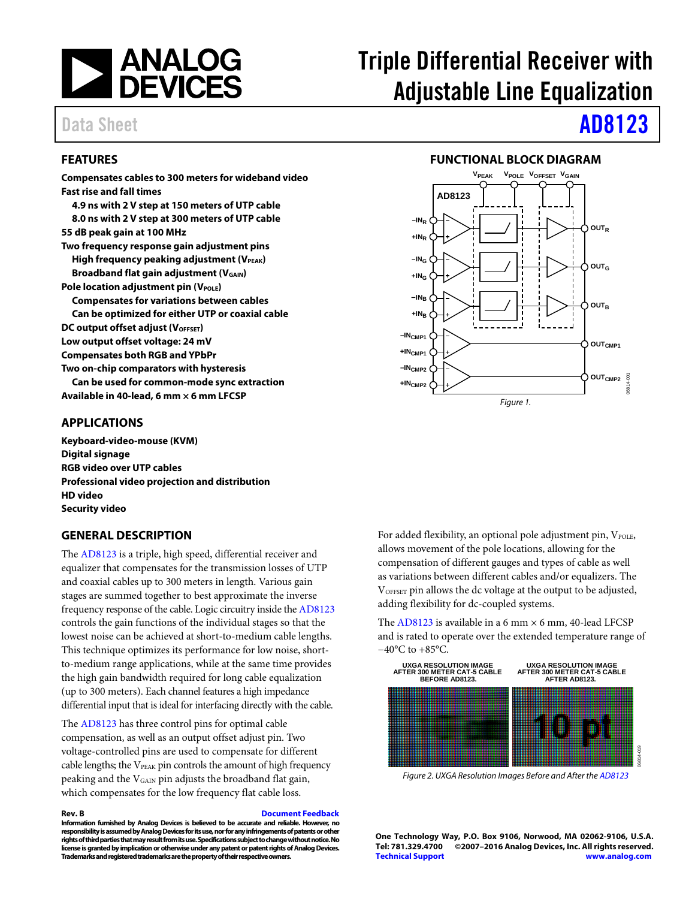

## <span id="page-0-0"></span>**FEATURES**

**Compensates cables to 300 meters for wideband video Fast rise and fall times 4.9 ns with 2 V step at 150 meters of UTP cable 8.0 ns with 2 V step at 300 meters of UTP cable 55 dB peak gain at 100 MHz Two frequency response gain adjustment pins High frequency peaking adjustment (VPEAK) Broadband flat gain adjustment (VGAIN) Pole location adjustment pin (VPOLE) Compensates for variations between cables Can be optimized for either UTP or coaxial cable DC output offset adjust (VOFFSET) Low output offset voltage: 24 mV Compensates both RGB and YPbPr Two on-chip comparators with hysteresis Can be used for common-mode sync extraction Available in 40-lead, 6 mm × 6 mm LFCSP** 

## <span id="page-0-1"></span>**APPLICATIONS**

**Keyboard-video-mouse (KVM) Digital signage RGB video over UTP cables Professional video projection and distribution HD video Security video** 

## <span id="page-0-3"></span>**GENERAL DESCRIPTION**

The [AD8123 i](http://www.analog.com/ad8123?doc=ad8123.pdf)s a triple, high speed, differential receiver and equalizer that compensates for the transmission losses of UTP and coaxial cables up to 300 meters in length. Various gain stages are summed together to best approximate the inverse frequency response of the cable. Logic circuitry inside th[e AD8123](http://www.analog.com/ad8123?doc=ad8123.pdf) controls the gain functions of the individual stages so that the lowest noise can be achieved at short-to-medium cable lengths. This technique optimizes its performance for low noise, shortto-medium range applications, while at the same time provides the high gain bandwidth required for long cable equalization (up to 300 meters). Each channel features a high impedance differential input that is ideal for interfacing directly with the cable.

The [AD8123 h](http://www.analog.com/ad8123?doc=ad8123.pdf)as three control pins for optimal cable compensation, as well as an output offset adjust pin. Two voltage-controlled pins are used to compensate for different cable lengths; the V<sub>PEAK</sub> pin controls the amount of high frequency peaking and the VGAIN pin adjusts the broadband flat gain, which compensates for the low frequency flat cable loss.

**Rev. B [Document Feedback](https://form.analog.com/Form_Pages/feedback/documentfeedback.aspx?doc=AD8123.pdf&product=AD8123&rev=B)** 

**Information furnished by Analog Devices is believed to be accurate and reliable. However, no responsibility is assumed by Analog Devices for its use, nor for any infringements of patents or other rights of third parties that may result from its use. Specifications subject to change without notice. No license is granted by implication or otherwise under any patent or patent rights of Analog Devices. Trademarks and registered trademarks are the property of their respective owners.** 

# Triple Differential Receiver with Adjustable Line Equalization

# Data Sheet **[AD8123](http://www.analog.com/ad8123?doc=ad8123.pdf)**

### **FUNCTIONAL BLOCK DIAGRAM**

<span id="page-0-2"></span>

For added flexibility, an optional pole adjustment pin, VPOLE, allows movement of the pole locations, allowing for the compensation of different gauges and types of cable as well as variations between different cables and/or equalizers. The VOFFSET pin allows the dc voltage at the output to be adjusted, adding flexibility for dc-coupled systems.

The [AD8123 i](http://www.analog.com/ad8123?doc=ad8123.pdf)s available in a 6 mm  $\times$  6 mm, 40-lead LFCSP and is rated to operate over the extended temperature range of −40°C to +85°C.



Figure 2. UXGA Resolution Images Before and After th[e AD8123](http://www.analog.com/ad8123?doc=ad8123.pdf) 

**One Technology Way, P.O. Box 9106, Norwood, MA 02062-9106, U.S.A. Tel: 781.329.4700 ©2007–2016 Analog Devices, Inc. All rights reserved. [Technical Support](http://www.analog.com/en/content/technical_support_page/fca.html) [www.analog.com](http://www.analog.com/)**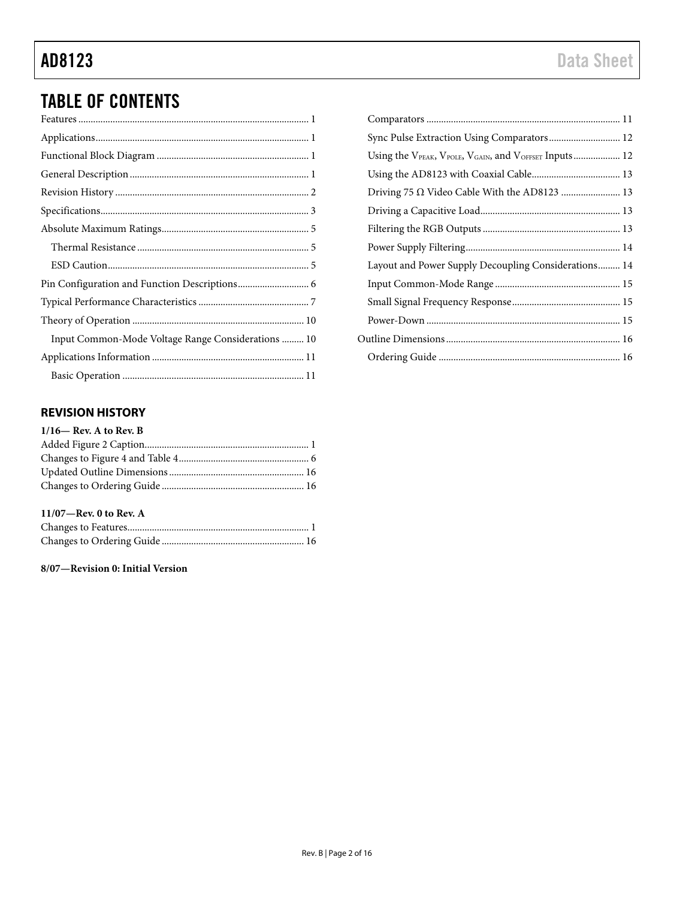## TABLE OF CONTENTS

| Input Common-Mode Voltage Range Considerations  10 |
|----------------------------------------------------|
|                                                    |
|                                                    |

## <span id="page-1-0"></span>**REVISION HISTORY**

| $1/16$ — Rev. A to Rev. B |  |
|---------------------------|--|
|                           |  |
|                           |  |
|                           |  |
|                           |  |
|                           |  |

## **11/07—Rev. 0 to Rev. A**

## **8/07—Revision 0: Initial Version**

| Sync Pulse Extraction Using Comparators 12           |  |
|------------------------------------------------------|--|
|                                                      |  |
|                                                      |  |
|                                                      |  |
|                                                      |  |
|                                                      |  |
|                                                      |  |
| Layout and Power Supply Decoupling Considerations 14 |  |
|                                                      |  |
|                                                      |  |
|                                                      |  |
|                                                      |  |
|                                                      |  |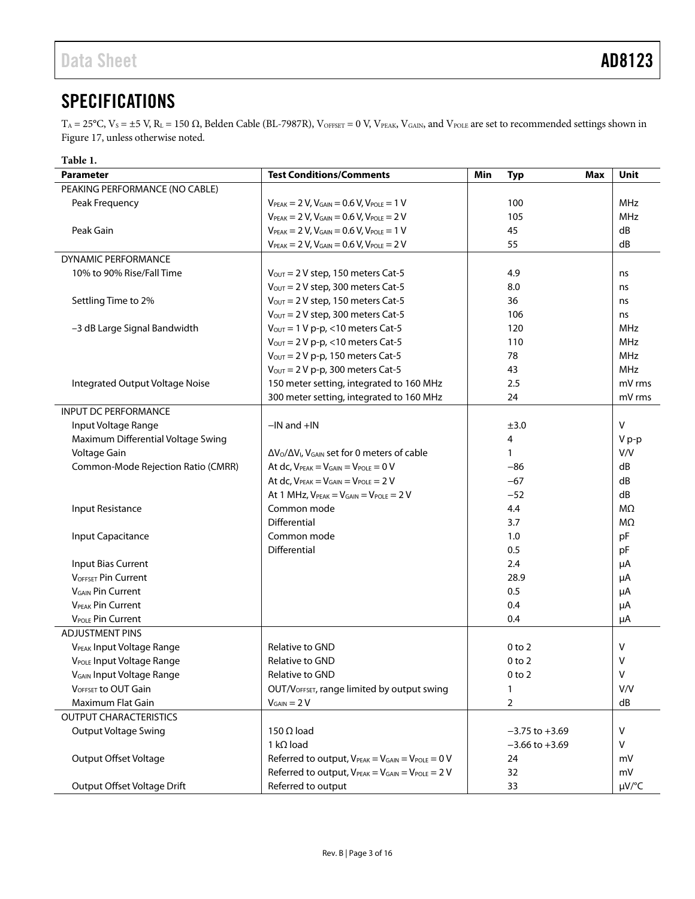## <span id="page-2-0"></span>**SPECIFICATIONS**

 $T_A = 25^{\circ}$ C,  $V_S = \pm 5$  V,  $R_L = 150 \Omega$ , Belden Cable (BL-7987R), VOFFSET = 0 V, VPEAK, VGAIN, and VPOLE are set to recommended settings shown in [Figure 17,](#page-8-0) unless otherwise noted.

<span id="page-2-1"></span>

| Table 1.                              |                                                                       |                    |             |  |  |
|---------------------------------------|-----------------------------------------------------------------------|--------------------|-------------|--|--|
| Parameter                             | <b>Test Conditions/Comments</b>                                       | Min<br><b>Typ</b>  | Unit<br>Max |  |  |
| PEAKING PERFORMANCE (NO CABLE)        |                                                                       |                    |             |  |  |
| Peak Frequency                        | $V_{PEAK} = 2 V, V_{GAIN} = 0.6 V, V_{POLE} = 1 V$                    | 100                | <b>MHz</b>  |  |  |
|                                       | $V_{PEAK} = 2 V, V_{GAIN} = 0.6 V, V_{POLE} = 2 V$                    | 105                | MHz         |  |  |
| Peak Gain                             | $V_{PEAK} = 2 V, V_{GAIN} = 0.6 V, V_{POLE} = 1 V$                    | 45                 | dB          |  |  |
|                                       | $V_{PEAK} = 2 V, V_{GAIN} = 0.6 V, V_{POLE} = 2 V$                    | 55                 | dB          |  |  |
| <b>DYNAMIC PERFORMANCE</b>            |                                                                       |                    |             |  |  |
| 10% to 90% Rise/Fall Time             | $V_{OUT} = 2 V$ step, 150 meters Cat-5                                | 4.9                | ns          |  |  |
|                                       | $V_{\text{OUT}} = 2 V$ step, 300 meters Cat-5                         | 8.0                | ns          |  |  |
| Settling Time to 2%                   | $V_{OUT} = 2 V$ step, 150 meters Cat-5                                | 36                 | ns          |  |  |
|                                       | $V_{\text{OUT}} = 2 V$ step, 300 meters Cat-5                         | 106                | ns          |  |  |
| -3 dB Large Signal Bandwidth          | $V_{\text{OUT}} = 1 V p-p$ , <10 meters Cat-5                         | 120                | MHz         |  |  |
|                                       | $V_{\text{OUT}} = 2 V p-p$ , <10 meters Cat-5                         | 110                | MHz         |  |  |
|                                       | $V_{\text{OUT}} = 2 V p-p$ , 150 meters Cat-5                         | 78                 | MHz         |  |  |
|                                       | $V_{\text{OUT}} = 2 V p-p$ , 300 meters Cat-5                         | 43                 | MHz         |  |  |
| Integrated Output Voltage Noise       | 150 meter setting, integrated to 160 MHz                              | 2.5                | mV rms      |  |  |
|                                       | 300 meter setting, integrated to 160 MHz                              | 24                 | mV rms      |  |  |
| <b>INPUT DC PERFORMANCE</b>           |                                                                       |                    |             |  |  |
| Input Voltage Range                   | $-IN$ and $+IN$                                                       | ±3.0               | V           |  |  |
| Maximum Differential Voltage Swing    |                                                                       | 4                  | V p-p       |  |  |
| Voltage Gain                          | $\Delta V_O/\Delta V_I$ , V <sub>GAIN</sub> set for 0 meters of cable | $\mathbf{1}$       | V/V         |  |  |
| Common-Mode Rejection Ratio (CMRR)    | At dc, $V_{PEAK} = V_{GAIN} = V_{POLE} = 0 V$                         | $-86$              | dB          |  |  |
|                                       | At $dc$ , $V_{PEAK} = V_{GAIN} = V_{POLE} = 2 V$                      | $-67$              | dB          |  |  |
|                                       | At 1 MHz, $V_{PEAK} = V_{GAIN} = V_{POLE} = 2 V$                      | $-52$              | dB          |  |  |
| Input Resistance                      | Common mode                                                           | 4.4                | MΩ          |  |  |
|                                       | Differential                                                          | 3.7                | MΩ          |  |  |
| Input Capacitance                     | Common mode                                                           | 1.0                | pF          |  |  |
|                                       | Differential                                                          | 0.5                | pF          |  |  |
| Input Bias Current                    |                                                                       | 2.4                | μA          |  |  |
| <b>VOFFSET Pin Current</b>            |                                                                       | 28.9               | μA          |  |  |
| <b>V<sub>GAIN</sub></b> Pin Current   |                                                                       | 0.5                | μA          |  |  |
| <b>VPEAK Pin Current</b>              |                                                                       | 0.4                | μA          |  |  |
| <b>VPOLE Pin Current</b>              |                                                                       | 0.4                | μA          |  |  |
| <b>ADJUSTMENT PINS</b>                |                                                                       |                    |             |  |  |
| V <sub>PEAK</sub> Input Voltage Range | Relative to GND                                                       | $0$ to $2$         | V           |  |  |
| V <sub>POLE</sub> Input Voltage Range | Relative to GND                                                       | 0 <sub>to</sub> 2  | v           |  |  |
| <b>VGAIN Input Voltage Range</b>      | Relative to GND                                                       | 0 to 2             | V           |  |  |
| V <sub>OFFSET</sub> to OUT Gain       | OUT/V <sub>OFFSET</sub> , range limited by output swing               | 1                  | V/V         |  |  |
| Maximum Flat Gain                     | $V_{GAIN} = 2 V$                                                      | $\overline{2}$     | dB          |  |  |
| <b>OUTPUT CHARACTERISTICS</b>         |                                                                       |                    |             |  |  |
| <b>Output Voltage Swing</b>           | $150 \Omega$ load                                                     | $-3.75$ to $+3.69$ | V           |  |  |
|                                       | 1 k $\Omega$ load                                                     | $-3.66$ to $+3.69$ | V           |  |  |
| Output Offset Voltage                 | Referred to output, $V_{PEAK} = V_{GAIN} = V_{POLE} = 0 V$            | 24                 | mV          |  |  |
|                                       | Referred to output, $V_{PEAK} = V_{GAIN} = V_{POLE} = 2 V$            | 32                 | mV          |  |  |
| Output Offset Voltage Drift           | Referred to output                                                    | 33                 | µV/°C       |  |  |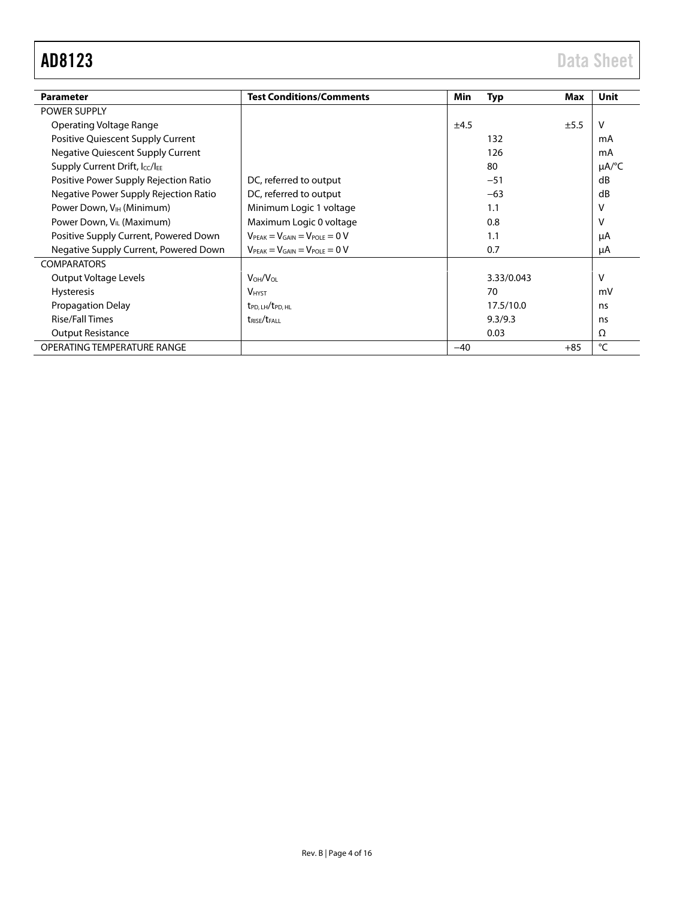| <b>Parameter</b>                      | <b>Test Conditions/Comments</b>                             | Min   | <b>Typ</b> | Max   | Unit                   |
|---------------------------------------|-------------------------------------------------------------|-------|------------|-------|------------------------|
| <b>POWER SUPPLY</b>                   |                                                             |       |            |       |                        |
| Operating Voltage Range               |                                                             | ±4.5  |            | ±5.5  | V                      |
| Positive Quiescent Supply Current     |                                                             |       | 132        |       | mA                     |
| Negative Quiescent Supply Current     |                                                             |       | 126        |       | mA                     |
| Supply Current Drift, Icc/IEE         |                                                             |       | 80         |       | $\mu A$ <sup>o</sup> C |
| Positive Power Supply Rejection Ratio | DC, referred to output                                      |       | $-51$      |       | dB                     |
| Negative Power Supply Rejection Ratio | DC, referred to output                                      |       | $-63$      |       | dB                     |
| Power Down, V <sub>IH</sub> (Minimum) | Minimum Logic 1 voltage                                     |       | 1.1        |       | v                      |
| Power Down, V <sub>IL</sub> (Maximum) | Maximum Logic 0 voltage                                     |       | 0.8        |       | v                      |
| Positive Supply Current, Powered Down | $V_{\text{PEAK}} = V_{\text{GAIN}} = V_{\text{POLE}} = 0 V$ |       | 1.1        |       | μA                     |
| Negative Supply Current, Powered Down | $V_{\text{PEAK}} = V_{\text{GAIN}} = V_{\text{POLE}} = 0 V$ |       | 0.7        |       | μA                     |
| <b>COMPARATORS</b>                    |                                                             |       |            |       |                        |
| Output Voltage Levels                 | $V_{OH}/V_{OL}$                                             |       | 3.33/0.043 |       | v                      |
| <b>Hysteresis</b>                     | <b>VHYST</b>                                                |       | 70         |       | mV                     |
| <b>Propagation Delay</b>              | t <sub>PD, LH</sub> /t <sub>PD, HL</sub>                    |       | 17.5/10.0  |       | ns                     |
| <b>Rise/Fall Times</b>                | <b>t</b> rise/teall                                         |       | 9.3/9.3    |       | ns                     |
| <b>Output Resistance</b>              |                                                             |       | 0.03       |       | Ω                      |
| OPERATING TEMPERATURE RANGE           |                                                             | $-40$ |            | $+85$ | °C                     |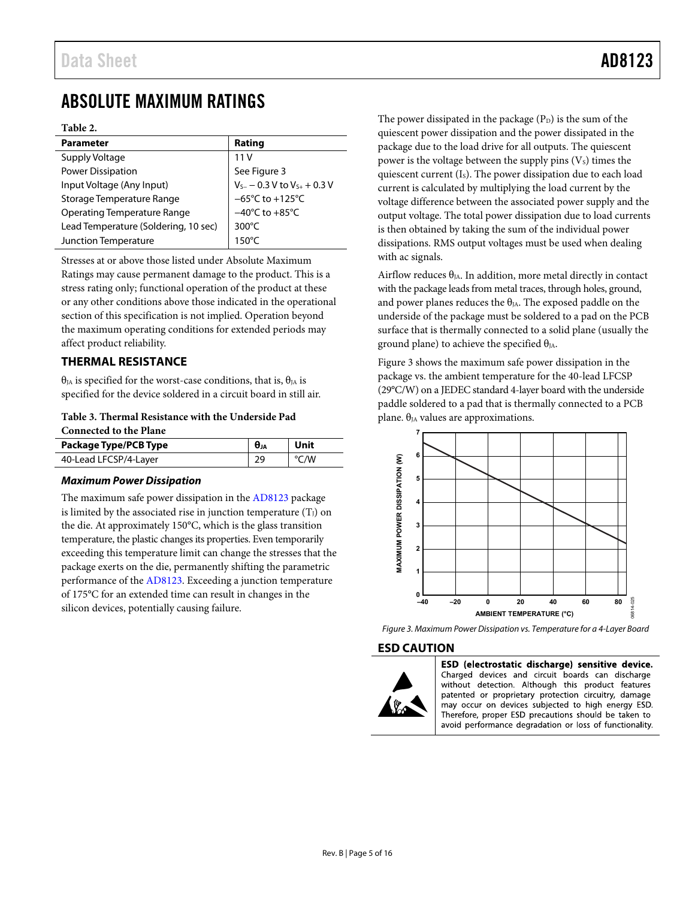## <span id="page-4-0"></span>ABSOLUTE MAXIMUM RATINGS

### **Table 2.**

| <b>Parameter</b>                     | Rating                               |
|--------------------------------------|--------------------------------------|
| Supply Voltage                       | 11 V                                 |
| <b>Power Dissipation</b>             | See Figure 3                         |
| Input Voltage (Any Input)            | $V_{S-}$ - 0.3 V to $V_{S+}$ + 0.3 V |
| Storage Temperature Range            | $-65^{\circ}$ C to $+125^{\circ}$ C  |
| <b>Operating Temperature Range</b>   | $-40^{\circ}$ C to $+85^{\circ}$ C   |
| Lead Temperature (Soldering, 10 sec) | $300^{\circ}$ C                      |
| Junction Temperature                 | $150^{\circ}$ C                      |

<span id="page-4-1"></span>Stresses at or above those listed under Absolute Maximum Ratings may cause permanent damage to the product. This is a stress rating only; functional operation of the product at these or any other conditions above those indicated in the operational section of this specification is not implied. Operation beyond the maximum operating conditions for extended periods may affect product reliability.

### **THERMAL RESISTANCE**

 $θ<sub>IA</sub>$  is specified for the worst-case conditions, that is,  $θ<sub>IA</sub>$  is specified for the device soldered in a circuit board in still air.

**Table 3. Thermal Resistance with the Underside Pad Connected to the Plane**

| Package Type/PCB Type | Unit               |  |
|-----------------------|--------------------|--|
| 40-Lead LFCSP/4-Layer | $\rm ^{\circ}$ C/W |  |

### *Maximum Power Dissipation*

The maximum safe power dissipation in th[e AD8123](http://www.analog.com/ad8123?doc=ad8123.pdf) package is limited by the associated rise in junction temperature  $(T_J)$  on the die. At approximately 150°C, which is the glass transition temperature, the plastic changes its properties. Even temporarily exceeding this temperature limit can change the stresses that the package exerts on the die, permanently shifting the parametric performance of the [AD8123.](http://www.analog.com/ad8123?doc=ad8123.pdf) Exceeding a junction temperature of 175°C for an extended time can result in changes in the silicon devices, potentially causing failure.

The power dissipated in the package  $(P_D)$  is the sum of the quiescent power dissipation and the power dissipated in the package due to the load drive for all outputs. The quiescent power is the voltage between the supply pins  $(V_s)$  times the quiescent current (I<sub>S</sub>). The power dissipation due to each load current is calculated by multiplying the load current by the voltage difference between the associated power supply and the output voltage. The total power dissipation due to load currents is then obtained by taking the sum of the individual power dissipations. RMS output voltages must be used when dealing with ac signals.

Airflow reduces  $\theta_{JA}$ . In addition, more metal directly in contact with the package leads from metal traces, through holes, ground, and power planes reduces the  $\theta_{IA}$ . The exposed paddle on the underside of the package must be soldered to a pad on the PCB surface that is thermally connected to a solid plane (usually the ground plane) to achieve the specified  $\theta_{JA}$ .

[Figure 3](#page-4-3) shows the maximum safe power dissipation in the package vs. the ambient temperature for the 40-lead LFCSP (29°C/W) on a JEDEC standard 4-layer board with the underside paddle soldered to a pad that is thermally connected to a PCB plane.  $θ<sub>JA</sub>$  values are approximations.



<span id="page-4-3"></span>*Figure 3. Maximum Power Dissipation vs. Temperature for a 4-Layer Board*

### <span id="page-4-2"></span>**ESD CAUTION**



ESD (electrostatic discharge) sensitive device. Charged devices and circuit boards can discharge without detection. Although this product features patented or proprietary protection circuitry, damage may occur on devices subjected to high energy ESD. Therefore, proper ESD precautions should be taken to avoid performance degradation or loss of functionality.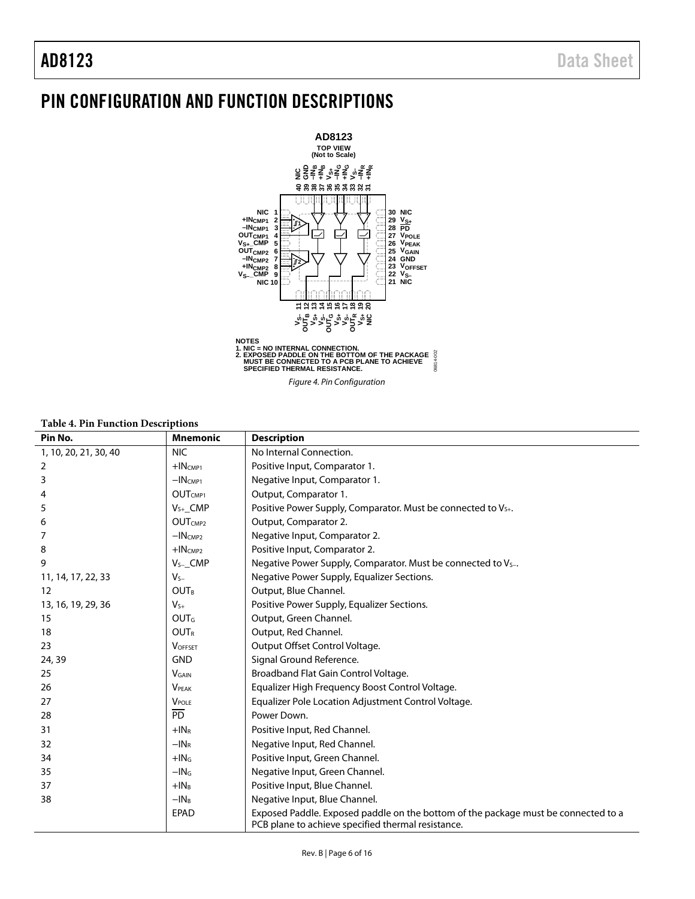## <span id="page-5-0"></span>PIN CONFIGURATION AND FUNCTION DESCRIPTIONS



### **Table 4. Pin Function Descriptions**

| Pin No.               | <b>Mnemonic</b>                  | <b>Description</b>                                                                                                                       |
|-----------------------|----------------------------------|------------------------------------------------------------------------------------------------------------------------------------------|
| 1, 10, 20, 21, 30, 40 | <b>NIC</b>                       | No Internal Connection.                                                                                                                  |
| 2                     | $+$ INCMP1                       | Positive Input, Comparator 1.                                                                                                            |
| 3                     | $-IN$ <sub>CMP1</sub>            | Negative Input, Comparator 1.                                                                                                            |
|                       | OUT <sub>CMP1</sub>              | Output, Comparator 1.                                                                                                                    |
| 5                     | $V_{S+}$ _CMP                    | Positive Power Supply, Comparator. Must be connected to V <sub>5+</sub> .                                                                |
| 6                     | OUT <sub>CMP2</sub>              | Output, Comparator 2.                                                                                                                    |
| 7                     | $-INCMP2$                        | Negative Input, Comparator 2.                                                                                                            |
| 8                     | $+$ IN $\epsilon$ <sub>MP2</sub> | Positive Input, Comparator 2.                                                                                                            |
| 9                     | $V_{S-}$ CMP                     | Negative Power Supply, Comparator. Must be connected to Vs-.                                                                             |
| 11, 14, 17, 22, 33    | $V_{S-}$                         | Negative Power Supply, Equalizer Sections.                                                                                               |
| 12                    | <b>OUTR</b>                      | Output, Blue Channel.                                                                                                                    |
| 13, 16, 19, 29, 36    | $V_{S+}$                         | Positive Power Supply, Equalizer Sections.                                                                                               |
| 15                    | <b>OUT</b> <sub>G</sub>          | Output, Green Channel.                                                                                                                   |
| 18                    | <b>OUTR</b>                      | Output, Red Channel.                                                                                                                     |
| 23                    | <b>VOFFSET</b>                   | Output Offset Control Voltage.                                                                                                           |
| 24, 39                | <b>GND</b>                       | Signal Ground Reference.                                                                                                                 |
| 25                    | <b>VGAIN</b>                     | Broadband Flat Gain Control Voltage.                                                                                                     |
| 26                    | <b>VPFAK</b>                     | Equalizer High Frequency Boost Control Voltage.                                                                                          |
| 27                    | <b>V</b> POLE                    | Equalizer Pole Location Adjustment Control Voltage.                                                                                      |
| 28                    | $\overline{PD}$                  | Power Down.                                                                                                                              |
| 31                    | $+IN_R$                          | Positive Input, Red Channel.                                                                                                             |
| 32                    | $-INR$                           | Negative Input, Red Channel.                                                                                                             |
| 34                    | $+$ IN $5$                       | Positive Input, Green Channel.                                                                                                           |
| 35                    | $-I$ N $G$                       | Negative Input, Green Channel.                                                                                                           |
| 37                    | $+IN_B$                          | Positive Input, Blue Channel.                                                                                                            |
| 38                    | $-IN_B$                          | Negative Input, Blue Channel.                                                                                                            |
|                       | <b>EPAD</b>                      | Exposed Paddle. Exposed paddle on the bottom of the package must be connected to a<br>PCB plane to achieve specified thermal resistance. |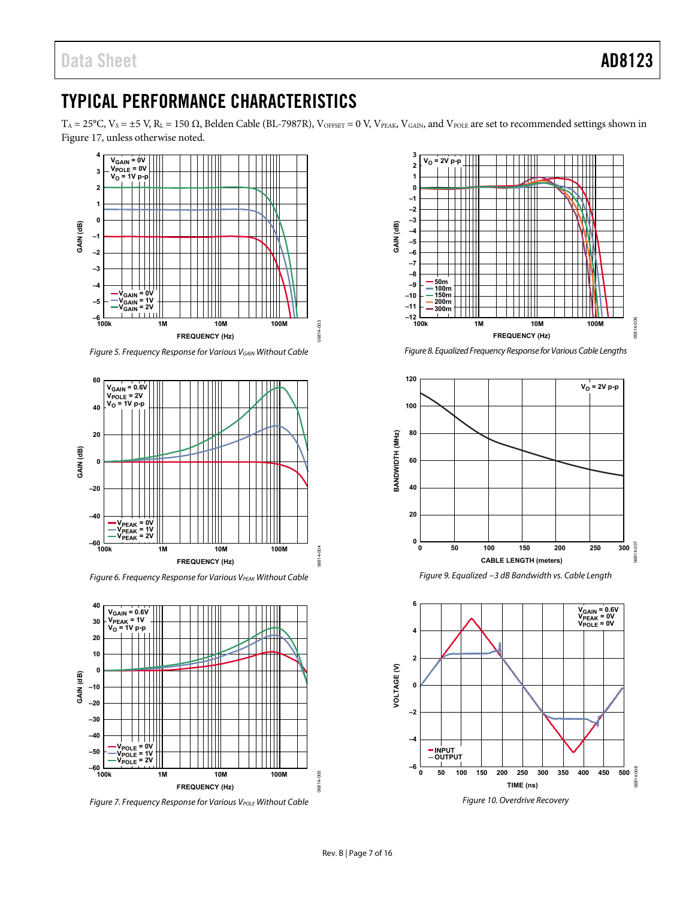## <span id="page-6-0"></span>TYPICAL PERFORMANCE CHARACTERISTICS

 $T_A = 25^{\circ}C$ ,  $V_S = \pm 5$  V,  $R_L = 150 \Omega$ , Belden Cable (BL-7987R),  $V_{OFSET} = 0$  V,  $V_{PEAK}$ ,  $V_{GAIN}$ , and  $V_{POLE}$  are set to recommended settings shown in [Figure 17,](#page-8-0) unless otherwise noted.



*Figure 5. Frequency Response for Various VGAIN Without Cable*



**Figure 6. Frequency Response for Various VPEAK Without Cable** 



*Figure 7. Frequency Response for Various V<sub>POLE</sub> Without Cable* 



*Figure 8. Equalized Frequency Response for Various Cable Lengths*



*Figure 9. Equalized −3 dB Bandwidth vs. Cable Length*

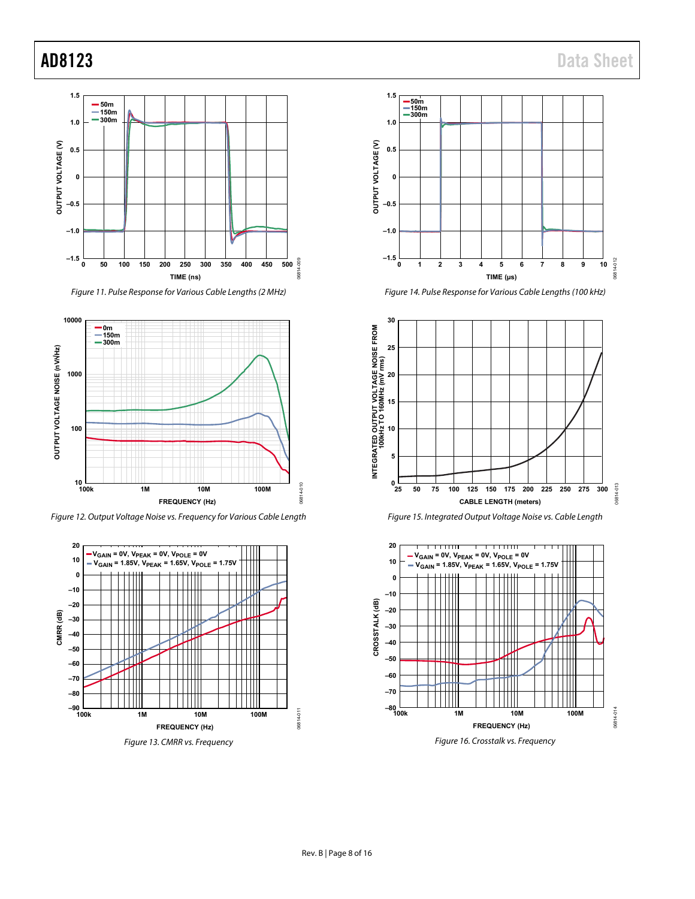

*Figure 11. Pulse Response for Various Cable Lengths (2 MHz)*



*Figure 12. Output Voltage Noise vs. Frequency for Various Cable Length*











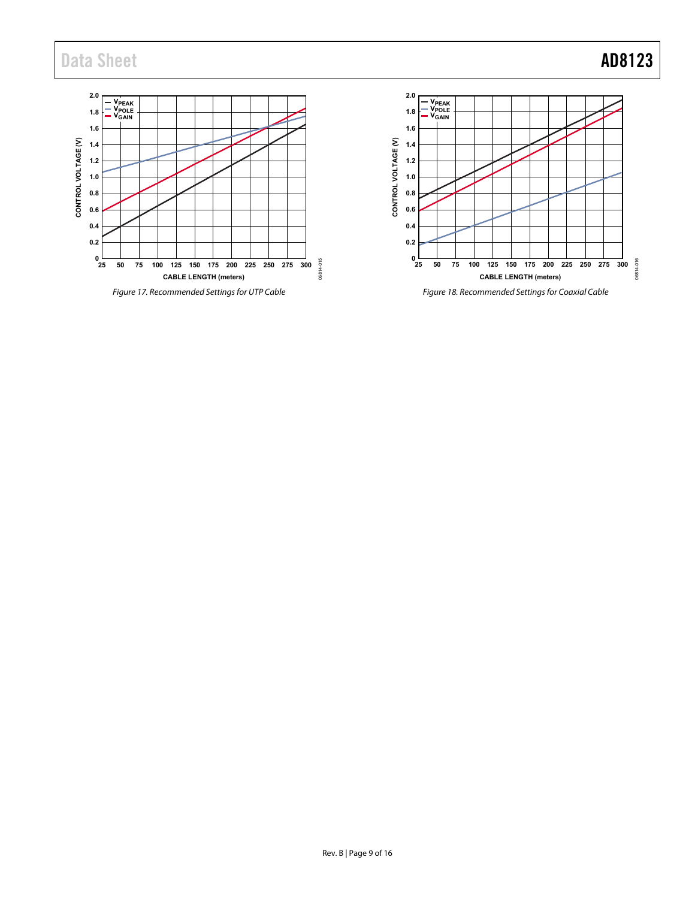## Data Sheet **AD8123**

<span id="page-8-1"></span><span id="page-8-0"></span>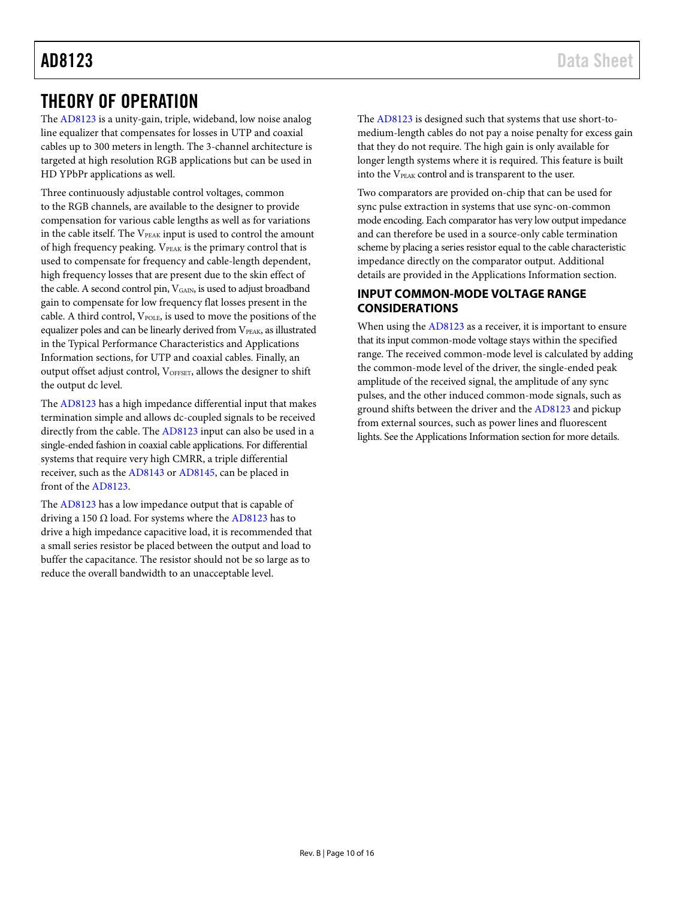## <span id="page-9-0"></span>THEORY OF OPERATION

The [AD8123](http://www.analog.com/ad8123?doc=ad8123.pdf) is a unity-gain, triple, wideband, low noise analog line equalizer that compensates for losses in UTP and coaxial cables up to 300 meters in length. The 3-channel architecture is targeted at high resolution RGB applications but can be used in HD YPbPr applications as well.

Three continuously adjustable control voltages, common to the RGB channels, are available to the designer to provide compensation for various cable lengths as well as for variations in the cable itself. The V<sub>PEAK</sub> input is used to control the amount of high frequency peaking. VPEAK is the primary control that is used to compensate for frequency and cable-length dependent, high frequency losses that are present due to the skin effect of the cable. A second control pin, V<sub>GAIN</sub>, is used to adjust broadband gain to compensate for low frequency flat losses present in the cable. A third control, VPOLE, is used to move the positions of the equalizer poles and can be linearly derived from VPEAK, as illustrated in the [Typical Performance Characteristics](#page-6-0) and [Applications](#page-10-0) [Information](#page-10-0) sections, for UTP and coaxial cables. Finally, an output offset adjust control, VOFFSET, allows the designer to shift the output dc level.

The [AD8123](http://www.analog.com/ad8123?doc=ad8123.pdf) has a high impedance differential input that makes termination simple and allows dc-coupled signals to be received directly from the cable. The [AD8123](http://www.analog.com/ad8123?doc=ad8123.pdf) input can also be used in a single-ended fashion in coaxial cable applications. For differential systems that require very high CMRR, a triple differential receiver, such as th[e AD8143](http://www.analog.com/AD8143?doc=AD8123.pdf) o[r AD8145,](http://www.analog.com/AD8145?doc=AD8123.pdf) can be placed in front of the [AD8123.](http://www.analog.com/ad8123?doc=ad8123.pdf)

The [AD8123](http://www.analog.com/ad8123?doc=ad8123.pdf) has a low impedance output that is capable of driving a 150  $\Omega$  load. For systems where the [AD8123](http://www.analog.com/ad8123?doc=ad8123.pdf) has to drive a high impedance capacitive load, it is recommended that a small series resistor be placed between the output and load to buffer the capacitance. The resistor should not be so large as to reduce the overall bandwidth to an unacceptable level.

The [AD8123](http://www.analog.com/ad8123?doc=ad8123.pdf) is designed such that systems that use short-tomedium-length cables do not pay a noise penalty for excess gain that they do not require. The high gain is only available for longer length systems where it is required. This feature is built into the V<sub>PEAK</sub> control and is transparent to the user.

Two comparators are provided on-chip that can be used for sync pulse extraction in systems that use sync-on-common mode encoding. Each comparator has very low output impedance and can therefore be used in a source-only cable termination scheme by placing a series resistor equal to the cable characteristic impedance directly on the comparator output. Additional details are provided in th[e Applications](#page-10-0) Information section.

## <span id="page-9-1"></span>**INPUT COMMON-MODE VOLTAGE RANGE CONSIDERATIONS**

When using th[e AD8123](http://www.analog.com/ad8123?doc=ad8123.pdf) as a receiver, it is important to ensure that its input common-mode voltage stays within the specified range. The received common-mode level is calculated by adding the common-mode level of the driver, the single-ended peak amplitude of the received signal, the amplitude of any sync pulses, and the other induced common-mode signals, such as ground shifts between the driver and the [AD8123](http://www.analog.com/ad8123?doc=ad8123.pdf) and pickup from external sources, such as power lines and fluorescent lights. See th[e Applications](#page-10-0) Information section for more details.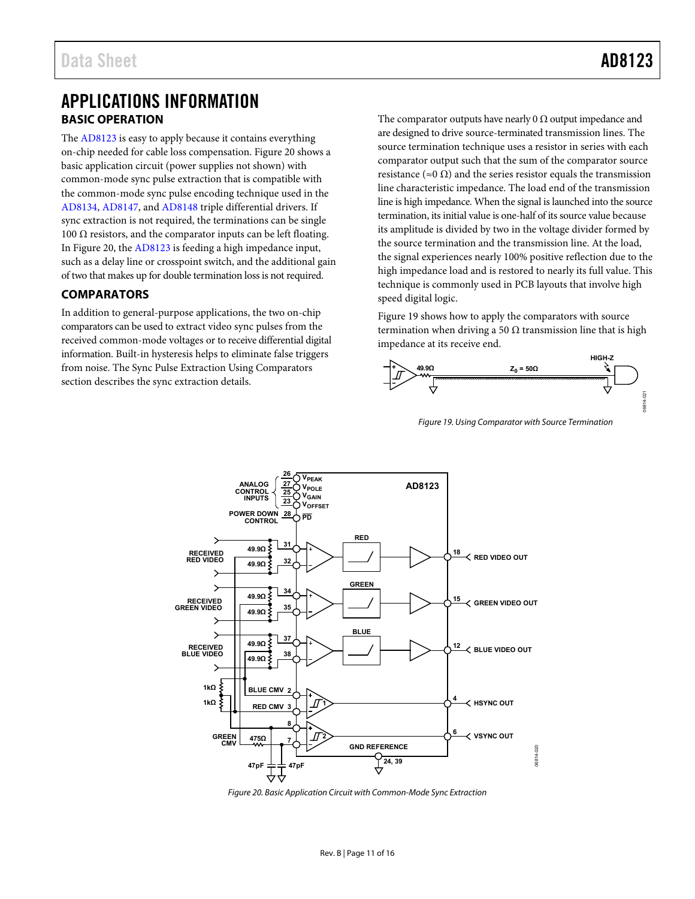## <span id="page-10-0"></span>APPLICATIONS INFORMATION **BASIC OPERATION**

<span id="page-10-1"></span>The [AD8123](http://www.analog.com/ad8123?doc=ad8123.pdf) is easy to apply because it contains everything on-chip needed for cable loss compensation[. Figure 20](#page-10-3) shows a basic application circuit (power supplies not shown) with common-mode sync pulse extraction that is compatible with the common-mode sync pulse encoding technique used in the [AD8134,](http://www.analog.com/AD8134?doc=AD8123.pdf) [AD8147,](http://www.analog.com/AD8147?doc=AD8123.pdf) an[d AD8148](http://www.analog.com/AD8148?doc=AD8123.pdf) triple differential drivers. If sync extraction is not required, the terminations can be single 100 Ω resistors, and the comparator inputs can be left floating. In [Figure 20,](#page-10-3) th[e AD8123](http://www.analog.com/ad8123?doc=ad8123.pdf) is feeding a high impedance input, such as a delay line or crosspoint switch, and the additional gain of two that makes up for double termination loss is not required.

## <span id="page-10-2"></span>**COMPARATORS**

In addition to general-purpose applications, the two on-chip comparators can be used to extract video sync pulses from the received common-mode voltages or to receive differential digital information. Built-in hysteresis helps to eliminate false triggers from noise. Th[e Sync Pulse Extraction Using Comparators](#page-11-0) section describes the sync extraction details.

The comparator outputs have nearly 0  $\Omega$  output impedance and are designed to drive source-terminated transmission lines. The source termination technique uses a resistor in series with each comparator output such that the sum of the comparator source resistance ( $\approx 0 \Omega$ ) and the series resistor equals the transmission line characteristic impedance. The load end of the transmission line is high impedance. When the signal is launched into the source termination, its initial value is one-half of its source value because its amplitude is divided by two in the voltage divider formed by the source termination and the transmission line. At the load, the signal experiences nearly 100% positive reflection due to the high impedance load and is restored to nearly its full value. This technique is commonly used in PCB layouts that involve high speed digital logic.

[Figure 19](#page-10-4) shows how to apply the comparators with source termination when driving a 50  $\Omega$  transmission line that is high impedance at its receive end.



<span id="page-10-4"></span>*Figure 19. Using Comparator with Source Termination*



<span id="page-10-3"></span>*Figure 20. Basic Application Circuit with Common-Mode Sync Extraction*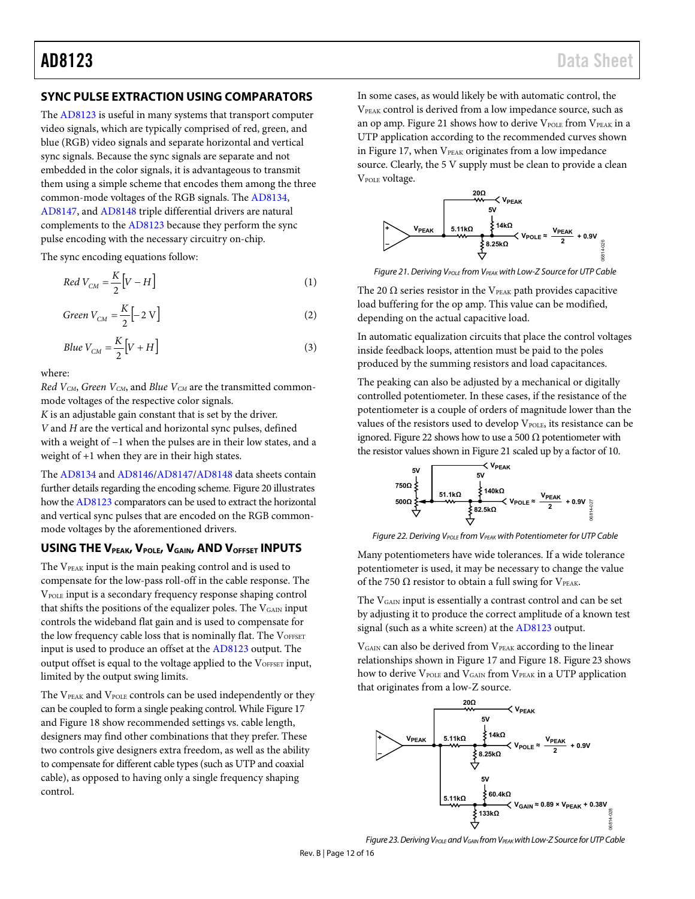## <span id="page-11-0"></span>**SYNC PULSE EXTRACTION USING COMPARATORS**

The [AD8123](http://www.analog.com/ad8123?doc=ad8123.pdf) is useful in many systems that transport computer video signals, which are typically comprised of red, green, and blue (RGB) video signals and separate horizontal and vertical sync signals. Because the sync signals are separate and not embedded in the color signals, it is advantageous to transmit them using a simple scheme that encodes them among the three common-mode voltages of the RGB signals. Th[e AD8134,](http://www.analog.com/AD8134?doc=AD8123.pdf) [AD8147,](http://www.analog.com/AD8147?doc=AD8123.pdf) an[d AD8148](http://www.analog.com/AD8148?doc=AD8123.pdf) triple differential drivers are natural complements to the [AD8123](http://www.analog.com/ad8123?doc=ad8123.pdf) because they perform the sync pulse encoding with the necessary circuitry on-chip.

The sync encoding equations follow:

$$
Red\ V_{CM} = \frac{K}{2} \Big[ V - H \Big] \tag{1}
$$

$$
Green V_{CM} = \frac{K}{2} \left[ -2 V \right] \tag{2}
$$

$$
Blue\ V_{CM} = \frac{K}{2} \Big[ V + H \Big] \tag{3}
$$

where:

*Red VCM*, *Green VCM*, and *Blue VCM* are the transmitted commonmode voltages of the respective color signals.

*K* is an adjustable gain constant that is set by th[e driver.](http://www.analog.com/AD8134)  *V* and *H* are the vertical and horizontal sync pulses, defined with a weight of −1 when the pulses are in their low states, and a weight of +1 when they are in their high states.

The [AD8134](http://www.analog.com/AD8134?doc=AD8123.pdf) and [AD8146](http://www.analog.com/AD8146?doc=AD8123.pdf)[/AD8147](http://www.analog.com/AD8147?doc=AD8123.pdf)[/AD8148](http://www.analog.com/AD8148?doc=AD8123.pdf) data sheets contain further details regarding the encoding scheme. [Figure 20](#page-10-3) illustrates how th[e AD8123](http://www.analog.com/ad8123?doc=ad8123.pdf) comparators can be used to extract the horizontal and vertical sync pulses that are encoded on the RGB commonmode voltages by the aforementioned drivers.

## <span id="page-11-1"></span>USING THE V<sub>PEAK</sub>, V<sub>POLE</sub>, V<sub>GAIN</sub>, AND V<sub>OFFSET</sub> INPUTS

The V<sub>PEAK</sub> input is the main peaking control and is used to compensate for the low-pass roll-off in the cable response. The VPOLE input is a secondary frequency response shaping control that shifts the positions of the equalizer poles. The  $V_{\text{GAN}}$  input controls the wideband flat gain and is used to compensate for the low frequency cable loss that is nominally flat. The VOFFSET input is used to produce an offset at th[e AD8123](http://www.analog.com/ad8123?doc=ad8123.pdf) output. The output offset is equal to the voltage applied to the VOFFSET input, limited by the output swing limits.

The VPEAK and VPOLE controls can be used independently or they can be coupled to form a single peaking control. Whil[e Figure 17](#page-8-0) an[d Figure 18](#page-8-1) show recommended settings vs. cable length, designers may find other combinations that they prefer. These two controls give designers extra freedom, as well as the ability to compensate for different cable types (such as UTP and coaxial cable), as opposed to having only a single frequency shaping control.

In some cases, as would likely be with automatic control, the VPEAK control is derived from a low impedance source, such as an op amp. [Figure 21](#page-11-2) shows how to derive  $V_{POLE}$  from  $V_{PEAK}$  in a UTP application according to the recommended curves shown in [Figure 17,](#page-8-0) when  $V_{PEAK}$  originates from a low impedance source. Clearly, the 5 V supply must be clean to provide a clean V<sub>POLE</sub> voltage.



<span id="page-11-2"></span>*Figure 21. Deriving V<sub>POLE</sub> from V<sub>PEAK</sub> with Low-Z Source for UTP Cable* 

The 20  $\Omega$  series resistor in the V<sub>PEAK</sub> path provides capacitive load buffering for the op amp. This value can be modified, depending on the actual capacitive load.

In automatic equalization circuits that place the control voltages inside feedback loops, attention must be paid to the poles produced by the summing resistors and load capacitances.

The peaking can also be adjusted by a mechanical or digitally controlled potentiometer. In these cases, if the resistance of the potentiometer is a couple of orders of magnitude lower than the values of the resistors used to develop VPOLE, its resistance can be ignored[. Figure 22](#page-11-3) shows how to use a 500  $\Omega$  potentiometer with the resistor values shown i[n Figure 21](#page-11-2) scaled up by a factor of 10.



<span id="page-11-3"></span>**Figure 22. Deriving V<sub>POLE</sub>** from V<sub>PEAK</sub> with Potentiometer for UTP Cable

Many potentiometers have wide tolerances. If a wide tolerance potentiometer is used, it may be necessary to change the value of the 750  $\Omega$  resistor to obtain a full swing for VPEAK.

The VGAIN input is essentially a contrast control and can be set by adjusting it to produce the correct amplitude of a known test signal (such as a white screen) at th[e AD8123](http://www.analog.com/ad8123?doc=ad8123.pdf) output.

V<sub>GAIN</sub> can also be derived from V<sub>PEAK</sub> according to the linear relationships shown i[n Figure 17](#page-8-0) and [Figure 18.](#page-8-1) [Figure 23](#page-11-4) shows how to derive VPOLE and VGAIN from VPEAK in a UTP application that originates from a low-Z source.



<span id="page-11-4"></span>*Figure 23. Deriving VPOLE and VGAIN from VPEAKwith Low-Z Source for UTP Cable*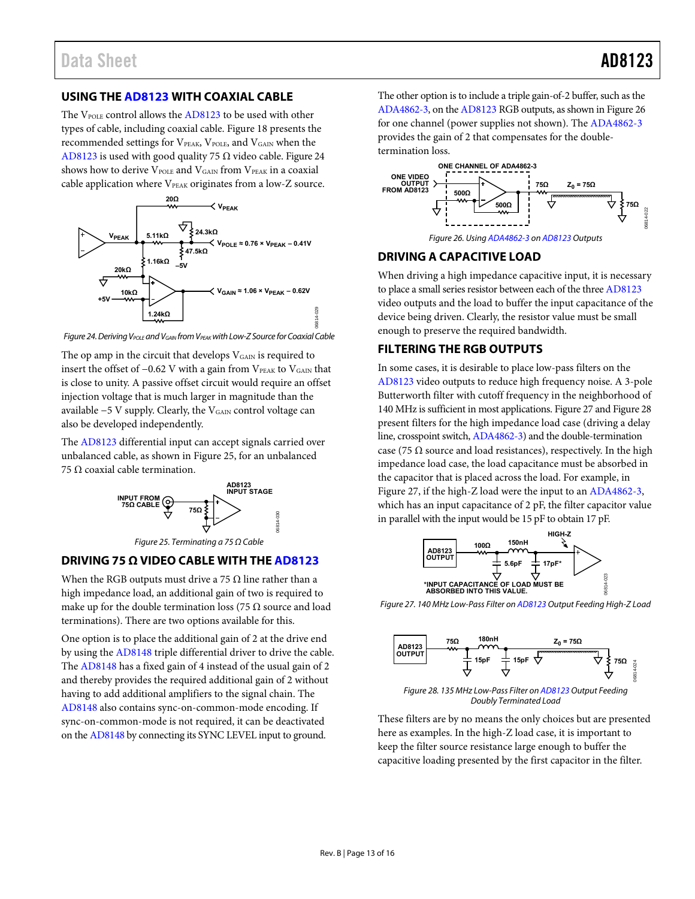## <span id="page-12-0"></span>**USING TH[E AD8123](http://www.analog.com/ad8123?doc=ad8123.pdf) WITH COAXIAL CABLE**

The VPOLE control allows th[e AD8123 t](http://www.analog.com/ad8123?doc=ad8123.pdf)o be used with other types of cable, including coaxial cable. [Figure 18 p](#page-8-1)resents the recommended settings for VPEAK, VPOLE, and VGAIN when the [AD8123 i](http://www.analog.com/ad8123?doc=ad8123.pdf)s used with good quality 75  $\Omega$  video cable. Figure 24 shows how to derive VPOLE and VGAIN from VPEAK in a coaxial cable application where  $V_{PEAK}$  originates from a low-Z source.



<span id="page-12-4"></span>Figure 24. Deriving V<sub>POLE</sub> and V<sub>GAIN</sub> from V<sub>PEAK</sub> with Low-Z Source for Coaxial Cable

The op amp in the circuit that develops V<sub>GAIN</sub> is required to insert the offset of −0.62 V with a gain from VPEAK to VGAIN that is close to unity. A passive offset circuit would require an offset injection voltage that is much larger in magnitude than the available −5 V supply. Clearly, the V<sub>GAIN</sub> control voltage can also be developed independently.

The [AD8123](http://www.analog.com/ad8123?doc=ad8123.pdf) differential input can accept signals carried over unbalanced cable, as shown i[n Figure 25,](#page-12-5) for an unbalanced 75 Ω coaxial cable termination.



## <span id="page-12-5"></span><span id="page-12-1"></span>**DRIVING 75 Ω VIDEO CABLE WITH THE [AD8123](http://www.analog.com/ad8123?doc=ad8123.pdf)**

When the RGB outputs must drive a 75  $\Omega$  line rather than a high impedance load, an additional gain of two is required to make up for the double termination loss (75  $\Omega$  source and load terminations). There are two options available for this.

One option is to place the additional gain of 2 at the drive end by using the [AD8148](http://www.analog.com/AD8148?doc=AD8123.pdf) triple differential driver to drive the cable. The [AD8148 h](http://www.analog.com/AD8148?doc=AD8123.pdf)as a fixed gain of 4 instead of the usual gain of 2 and thereby provides the required additional gain of 2 without having to add additional amplifiers to the signal chain. The [AD8148 a](http://www.analog.com/AD8148?doc=AD8123.pdf)lso contains sync-on-common-mode encoding. If sync-on-common-mode is not required, it can be deactivated on th[e AD8148 b](http://www.analog.com/AD8148?doc=AD8123.pdf)y connecting its SYNC LEVEL input to ground.

The other option is to include a triple gain-of-2 buffer, such as the [ADA4862-3,](http://www.analog.com/ADA4862-3?doc=AD8123.pdf) on th[e AD8123 R](http://www.analog.com/ad8123?doc=ad8123.pdf)GB outputs, as shown in [Figure 26](#page-12-6)  for one channel (power supplies not shown). Th[e ADA4862-3](http://www.analog.com/ADA4862-3?doc=AD8123.pdf) provides the gain of 2 that compensates for the doubletermination loss.



## <span id="page-12-6"></span><span id="page-12-2"></span>**DRIVING A CAPACITIVE LOAD**

When driving a high impedance capacitive input, it is necessary to place a small series resistor between each of the thre[e AD8123](http://www.analog.com/ad8123?doc=ad8123.pdf) video outputs and the load to buffer the input capacitance of the device being driven. Clearly, the resistor value must be small enough to preserve the required bandwidth.

## <span id="page-12-3"></span>**FILTERING THE RGB OUTPUTS**

In some cases, it is desirable to place low-pass filters on the [AD8123 v](http://www.analog.com/ad8123?doc=ad8123.pdf)ideo outputs to reduce high frequency noise. A 3-pole Butterworth filter with cutoff frequency in the neighborhood of 140 MHz is sufficient in most applications[. Figure 27 a](#page-12-7)n[d Figure 28](#page-12-8)  present filters for the high impedance load case (driving a delay line, crosspoint switch[, ADA4862-3\)](http://www.analog.com/ADA4862-3?doc=AD8123.pdf) and the double-termination case (75  $\Omega$  source and load resistances), respectively. In the high impedance load case, the load capacitance must be absorbed in the capacitor that is placed across the load. For example, in [Figure 27,](#page-12-7) if the high-Z load were the input to a[n ADA4862-3,](http://www.analog.com/ADA4862-3?doc=AD8123.pdf)  which has an input capacitance of 2 pF, the filter capacitor value in parallel with the input would be 15 pF to obtain 17 pF.



<span id="page-12-7"></span>Figure 27. 140 MHz Low-Pass Filter o[n AD8123 O](http://www.analog.com/ad8123?doc=ad8123.pdf)utput Feeding High-Z Load



<span id="page-12-8"></span>Figure 28. 135 MHz Low-Pass Filter o[n AD8123 O](http://www.analog.com/ad8123?doc=ad8123.pdf)utput Feeding Doubly Terminated Load

These filters are by no means the only choices but are presented here as examples. In the high-Z load case, it is important to keep the filter source resistance large enough to buffer the capacitive loading presented by the first capacitor in the filter.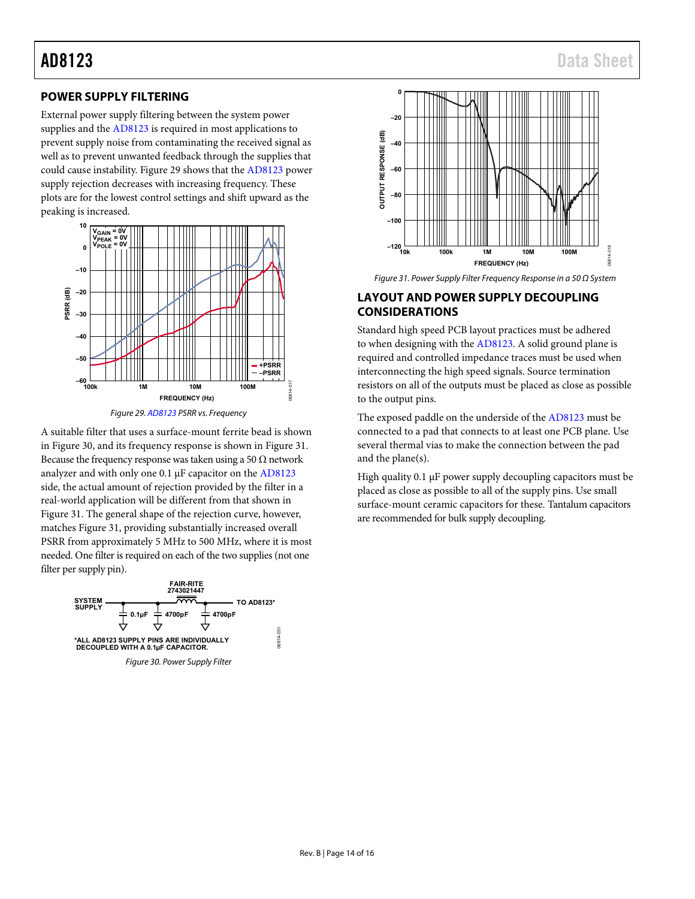## <span id="page-13-0"></span>**POWER SUPPLY FILTERING**

External power supply filtering between the system power supplies and th[e AD8123](http://www.analog.com/ad8123?doc=ad8123.pdf) is required in most applications to prevent supply noise from contaminating the received signal as well as to prevent unwanted feedback through the supplies that could cause instability[. Figure 29](#page-13-2) shows that the [AD8123](http://www.analog.com/ad8123?doc=ad8123.pdf) power supply rejection decreases with increasing frequency. These plots are for the lowest control settings and shift upward as the peaking is increased.



*Figure 29. [AD8123](http://www.analog.com/ad8123?doc=ad8123.pdf) PSRR vs. Frequency*

<span id="page-13-2"></span>A suitable filter that uses a surface-mount ferrite bead is shown in [Figure 30,](#page-13-3) and its frequency response is shown in [Figure 31.](#page-13-4) Because the frequency response was taken using a 50  $\Omega$  network analyzer and with only one 0.1 µF capacitor on the [AD8123](http://www.analog.com/ad8123?doc=ad8123.pdf) side, the actual amount of rejection provided by the filter in a real-world application will be different from that shown in [Figure 31.](#page-13-4) The general shape of the rejection curve, however, matches [Figure 31,](#page-13-4) providing substantially increased overall PSRR from approximately 5 MHz to 500 MHz, where it is most needed. One filter is required on each of the two supplies (not one filter per supply pin).

<span id="page-13-3"></span>



<span id="page-13-4"></span>*Figure 31. Power Supply Filter Frequency Response in a 50 Ω System*

### <span id="page-13-1"></span>**LAYOUT AND POWER SUPPLY DECOUPLING CONSIDERATIONS**

Standard high speed PCB layout practices must be adhered to when designing with the [AD8123.](http://www.analog.com/ad8123?doc=ad8123.pdf) A solid ground plane is required and controlled impedance traces must be used when interconnecting the high speed signals. Source termination resistors on all of the outputs must be placed as close as possible to the output pins.

The exposed paddle on the underside of the [AD8123](http://www.analog.com/ad8123?doc=ad8123.pdf) must be connected to a pad that connects to at least one PCB plane. Use several thermal vias to make the connection between the pad and the plane(s).

High quality 0.1 µF power supply decoupling capacitors must be placed as close as possible to all of the supply pins. Use small surface-mount ceramic capacitors for these. Tantalum capacitors are recommended for bulk supply decoupling.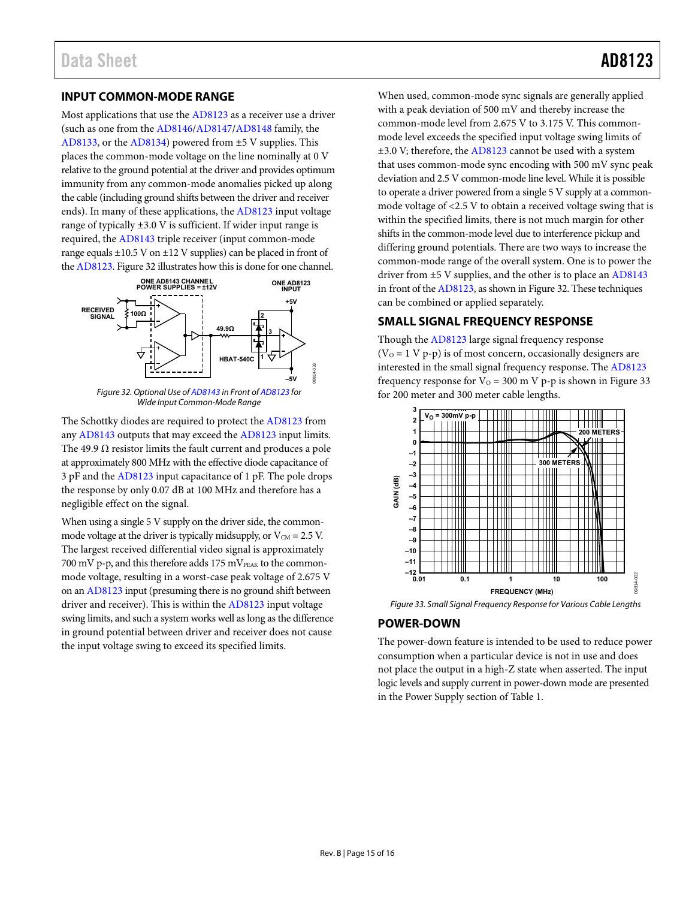### <span id="page-14-0"></span>**INPUT COMMON-MODE RANGE**

Most applications that use th[e AD8123](http://www.analog.com/ad8123?doc=ad8123.pdf) as a receiver use a driver (such as one from the [AD8146/](http://www.analog.com/AD8146?doc=AD8123.pdf)[AD8147/](http://www.analog.com/AD8147?doc=AD8123.pdf)[AD8148 f](http://www.analog.com/AD8148?doc=AD8123.pdf)amily, the [AD8133,](http://www.analog.com/AD8133?doc=AD8123.pdf) or th[e AD8134\)](http://www.analog.com/AD8134?doc=AD8123.pdf) powered from ±5 V supplies. This places the common-mode voltage on the line nominally at 0 V relative to the ground potential at the driver and provides optimum immunity from any common-mode anomalies picked up along the cable (including ground shifts between the driver and receiver ends). In many of these applications, th[e AD8123 i](http://www.analog.com/ad8123?doc=ad8123.pdf)nput voltage range of typically ±3.0 V is sufficient. If wider input range is required, the [AD8143 t](http://www.analog.com/AD8143?doc=AD8123.pdf)riple receiver (input common-mode range equals ±10.5 V on ±12 V supplies) can be placed in front of th[e AD8123.](http://www.analog.com/ad8123?doc=ad8123.pdf) [Figure 32 i](#page-14-3)llustrates how this is done for one channel.



<span id="page-14-3"></span>The Schottky diodes are required to protect the [AD8123 f](http://www.analog.com/ad8123?doc=ad8123.pdf)rom an[y AD8143 o](http://www.analog.com/AD8143?doc=AD8123.pdf)utputs that may exceed th[e AD8123 i](http://www.analog.com/ad8123?doc=ad8123.pdf)nput limits. The 49.9  $\Omega$  resistor limits the fault current and produces a pole at approximately 800 MHz with the effective diode capacitance of 3 pF and th[e AD8123 i](http://www.analog.com/ad8123?doc=ad8123.pdf)nput capacitance of 1 pF. The pole drops the response by only 0.07 dB at 100 MHz and therefore has a negligible effect on the signal.

When using a single 5 V supply on the driver side, the commonmode voltage at the driver is typically midsupply, or  $V_{CM} = 2.5 V$ . The largest received differential video signal is approximately 700 mV p-p, and this therefore adds  $175 \text{ mV}$ <sub>PEAK</sub> to the commonmode voltage, resulting in a worst-case peak voltage of 2.675 V on a[n AD8123](http://www.analog.com/ad8123?doc=ad8123.pdf) input (presuming there is no ground shift between driver and receiver). This is within th[e AD8123](http://www.analog.com/ad8123?doc=ad8123.pdf) input voltage swing limits, and such a system works well as long as the difference in ground potential between driver and receiver does not cause the input voltage swing to exceed its specified limits.

When used, common-mode sync signals are generally applied with a peak deviation of 500 mV and thereby increase the common-mode level from 2.675 V to 3.175 V. This commonmode level exceeds the specified input voltage swing limits of ±3.0 V; therefore, the [AD8123 c](http://www.analog.com/ad8123?doc=ad8123.pdf)annot be used with a system that uses common-mode sync encoding with 500 mV sync peak deviation and 2.5 V common-mode line level. While it is possible to operate a driver powered from a single 5 V supply at a commonmode voltage of <2.5 V to obtain a received voltage swing that is within the specified limits, there is not much margin for other shifts in the common-mode level due to interference pickup and differing ground potentials. There are two ways to increase the common-mode range of the overall system. One is to power the driver from ±5 V supplies, and the other is to place a[n AD8143](http://www.analog.com/AD8143?doc=AD8123.pdf) in front of th[e AD8123,](http://www.analog.com/ad8123?doc=ad8123.pdf) as shown i[n Figure 32.](#page-14-3) These techniques can be combined or applied separately.

## <span id="page-14-1"></span>**SMALL SIGNAL FREQUENCY RESPONSE**

Though th[e AD8123 l](http://www.analog.com/ad8123?doc=ad8123.pdf)arge signal frequency response  $(V<sub>o</sub> = 1 V p-p)$  is of most concern, occasionally designers are interested in the small signal frequency response. The [AD8123](http://www.analog.com/ad8123?doc=ad8123.pdf) frequency response for  $V_0 = 300$  m V p-p is shown in Figure 33 for 200 meter and 300 meter cable lengths.



<span id="page-14-4"></span>Figure 33. Small Signal Frequency Response for Various Cable Lengths

## <span id="page-14-2"></span>**POWER-DOWN**

The power-down feature is intended to be used to reduce power consumption when a particular device is not in use and does not place the output in a high-Z state when asserted. The input logic levels and supply current in power-down mode are presented in the Power Supply section of [Table 1.](#page-2-1)